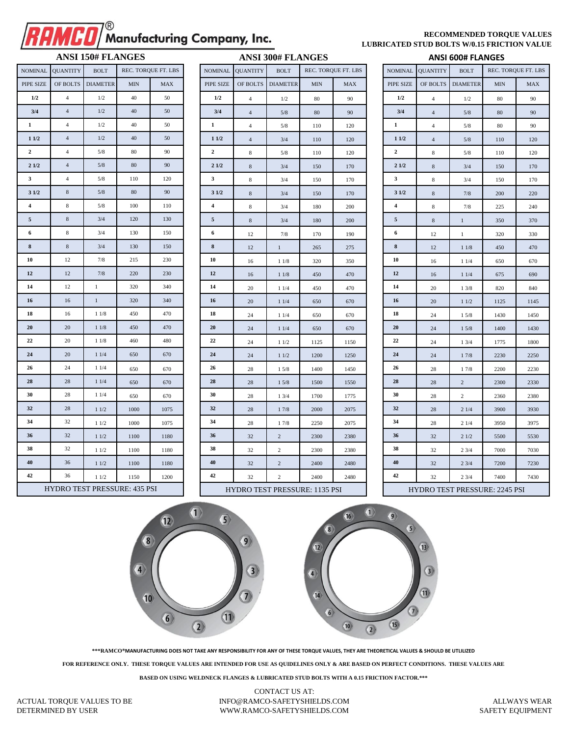## Manufacturing Company, Inc.

## **RECOMMENDED TORQUE VALUES LUBRICATED STUD BOLTS W/0.15 FRICTION VALUE**

|                | NOMINAL QUANTITY | <b>BOLT</b>     |            | REC. TORQUE FT. LBS |  |  |  |  |
|----------------|------------------|-----------------|------------|---------------------|--|--|--|--|
| PIPE SIZE      | OF BOLTS         | <b>DIAMETER</b> | <b>MIN</b> | <b>MAX</b>          |  |  |  |  |
| 1/2            | $\overline{4}$   | 1/2             | 40         | 50                  |  |  |  |  |
| 3/4            | $\overline{4}$   | 1/2             | 40         | 50                  |  |  |  |  |
| $\mathbf{1}$   | 4                | 1/2             | 40         | 50                  |  |  |  |  |
| 11/2           | $\overline{4}$   | 1/2             | 40         | 50                  |  |  |  |  |
| $\overline{2}$ | $\overline{4}$   | 5/8             | 80         | 90                  |  |  |  |  |
| 21/2           | 4                | 5/8             | 80         | 90                  |  |  |  |  |
| 3              | 4                | 5/8             | 110        |                     |  |  |  |  |
| 31/2           | 8                | 5/8             | 80         | 90                  |  |  |  |  |
| 4              | 8                | 5/8             | 100        | 110                 |  |  |  |  |
| 5              | 8                | 3/4             | 120        | 130                 |  |  |  |  |
| 6              | 8                | 3/4             | 130        | 150                 |  |  |  |  |
| 8              | 8                | 3/4             | 130        | 150                 |  |  |  |  |
| 10             | 12               | 7/8             | 215        | 230                 |  |  |  |  |
| 12             | 12               | 7/8             | 220        | 230                 |  |  |  |  |
| 14             | 12               | $\mathbf{1}$    | 320        | 340                 |  |  |  |  |
| 16             | 16               | $\mathbf{1}$    | 320        | 340                 |  |  |  |  |
| 18             | 16               | 11/8            | 450        | 470                 |  |  |  |  |
| 20             | 20               | 11/8            | 450        | 470                 |  |  |  |  |
| 22             | 20               | 11/8            | 460        | 480                 |  |  |  |  |
| 24             | 20               | 11/4            | 650        | 670                 |  |  |  |  |
| 26             | 24               | 11/4            | 650        | 670                 |  |  |  |  |
| 28             | 28               | 11/4            | 650        | 670                 |  |  |  |  |
| 30             | 28               | 11/4            | 650        | 670                 |  |  |  |  |
| 32             | 28               | 11/2            | 1000       | 1075                |  |  |  |  |
| 34             | 32               | 11/2            | 1000       | 1075                |  |  |  |  |
| 36             | 32               | 11/2            | 1100       | 1180                |  |  |  |  |
| 38             | 32               | 11/2            | 1100       | 1180                |  |  |  |  |
| 40             | 36               | 11/2            | 1100       | 1180                |  |  |  |  |
| 42             | 36               | 11/2            | 1150       | 1200                |  |  |  |  |

| <b>ANSI 150# FLANGES</b>            |                 |                   |            |                     | <b>ANSI 300# FLANGES</b>             |                 |                   |            |                     |  | <b>ANSI 600# FLANGES</b>             |                 |                   |                    |            |  |  |
|-------------------------------------|-----------------|-------------------|------------|---------------------|--------------------------------------|-----------------|-------------------|------------|---------------------|--|--------------------------------------|-----------------|-------------------|--------------------|------------|--|--|
| <b>NOMINAL</b>                      | <b>QUANTITY</b> | <b>BOLT</b>       |            | REC. TORQUE FT. LBS | <b>NOMINAL</b>                       | <b>QUANTITY</b> | <b>BOLT</b>       |            | REC. TORQUE FT. LBS |  | <b>NOMINAL</b>                       | <b>QUANTITY</b> | <b>BOLT</b>       | REC. TORQUE FT. LI |            |  |  |
| PIPE SIZE                           |                 | OF BOLTS DIAMETER | <b>MIN</b> | <b>MAX</b>          | PIPE SIZE                            |                 | OF BOLTS DIAMETER | <b>MIN</b> | <b>MAX</b>          |  | PIPE SIZE                            |                 | OF BOLTS DIAMETER | <b>MIN</b>         | <b>MAX</b> |  |  |
| 1/2                                 | $\overline{4}$  | 1/2               | 40         | 50                  | 1/2                                  | $\overline{4}$  | 1/2               | 80         | 90                  |  | 1/2                                  | $\overline{4}$  | 1/2               | 80                 | 90         |  |  |
| 3/4                                 | $\overline{4}$  | 1/2               | 40         | 50                  | 3/4                                  | $\overline{4}$  | 5/8               | 80         | 90                  |  | 3/4                                  | $\overline{4}$  | 5/8               | 80                 | 90         |  |  |
| $\mathbf{1}$                        | $\overline{4}$  | 1/2               | 40         | 50                  | $\mathbf 1$                          | $\overline{4}$  | 5/8               | 110        | 120                 |  | $\mathbf{1}$                         | $\overline{4}$  | 5/8               | 80                 | 90         |  |  |
| 11/2                                | $\overline{4}$  | 1/2               | 40         | 50                  | 11/2                                 | $\overline{4}$  | 3/4               | 110        | 120                 |  | 11/2                                 | $\overline{4}$  | 5/8               | 110                | 120        |  |  |
| 2                                   | $\overline{4}$  | 5/8               | 80         | 90                  | $\overline{2}$                       | $\bf 8$         | 5/8               | 110        | 120                 |  | $\mathbf{2}$                         | $\bf 8$         | 5/8               | 110                | 120        |  |  |
| 21/2                                | $\overline{4}$  | $5/8$             | 80         | 90                  | 21/2                                 | $\,8\,$         | 3/4               | 150        | 170                 |  | 21/2                                 | $\,8\,$         | 3/4               | 150                | 170        |  |  |
| $\mathbf{3}$                        | $\overline{4}$  | 5/8               | 110        | 120                 | $\overline{\mathbf{3}}$              | 8               | 3/4               | 150        | 170                 |  | $\mathbf{3}$                         | $\bf 8$         | 3/4               | 150                | 170        |  |  |
| 31/2                                | $\bf 8$         | $5/8$             | 80         | 90                  | 31/2                                 | $\bf 8$         | 3/4               | 150        | 170                 |  | 31/2                                 | $\,8\,$         | $7/8$             | 200                | 220        |  |  |
| $\overline{4}$                      | $\bf 8$         | $5/8$             | 100        | 110                 | $\overline{4}$                       | 8               | 3/4               | 180        | 200                 |  | 4                                    | 8               | 7/8               | 225                | 240        |  |  |
| $\overline{5}$                      | $\bf 8$         | 3/4               | 120        | 130                 | $\overline{5}$                       | $\,8\,$         | 3/4               | 180        | 200                 |  | $\mathfrak{S}$                       | $\,8\,$         | $\mathbf{1}$      | 350                | 370        |  |  |
| 6                                   | $\bf 8$         | 3/4               | 130        | 150                 | 6                                    | 12              | 7/8               | 170        | 190                 |  | 6                                    | 12              | $\mathbf{1}$      | 320                | 330        |  |  |
| ${\bf 8}$                           | $\bf 8$         | 3/4               | 130        | 150                 | $\bf 8$                              | 12              | $\,1\,$           | 265        | 275                 |  | ${\bf 8}$                            | 12              | $11/8$            | 450                | 470        |  |  |
| 10                                  | 12              | 7/8               | 215        | 230                 | 10                                   | 16              | 11/8              | 320        | 350                 |  | 10                                   | 16              | 11/4              | 650                | 670        |  |  |
| 12                                  | 12              | 7/8               | 220        | 230                 | 12                                   | 16              | 11/8              | 450        | 470                 |  | 12                                   | 16              | 11/4              | 675                | 690        |  |  |
| 14                                  | 12              | $1\,$             | 320        | 340                 | 14                                   | 20              | 11/4              | 450        | 470                 |  | 14                                   | 20              | 13/8              | 820                | 840        |  |  |
| 16                                  | 16              | $\mathbf{1}$      | 320        | 340                 | 16                                   | 20              | 11/4              | 650        | 670                 |  | 16                                   | 20              | 11/2              | 1125               | 1145       |  |  |
| 18                                  | 16              | 11/8              | 450        | 470                 | 18                                   | 24              | 11/4              | 650        | 670                 |  | 18                                   | 24              | 15/8              | 1430               | 1450       |  |  |
| 20                                  | 20              | 11/8              | 450        | 470                 | 20                                   | 24              | 11/4              | 650        | 670                 |  | 20                                   | 24              | 15/8              | 1400               | 1430       |  |  |
| 22                                  | $20\,$          | 11/8              | 460        | 480                 | $22\,$                               | 24              | 11/2              | 1125       | 1150                |  | 22                                   | 24              | 13/4              | 1775               | 1800       |  |  |
| 24                                  | 20              | 11/4              | 650        | 670                 | $24\,$                               | 24              | 11/2              | 1200       | 1250                |  | 24                                   | 24              | 17/8              | 2230               | 2250       |  |  |
| 26                                  | 24              | 11/4              | 650        | 670                 | 26                                   | 28              | 15/8              | 1400       | 1450                |  | 26                                   | 28              | 17/8              | 2200               | 2230       |  |  |
| 28                                  | 28              | 11/4              | 650        | 670                 | 28                                   | 28              | 15/8              | 1500       | 1550                |  | 28                                   | 28              | $\overline{c}$    | 2300               | 2330       |  |  |
| 30                                  | $\sqrt{28}$     | 11/4              | 650        | 670                 | 30                                   | 28              | 13/4              | 1700       | 1775                |  | 30                                   | 28              | $\overline{c}$    | 2360               | 2380       |  |  |
| 32                                  | 28              | 11/2              | 1000       | 1075                | 32                                   | 28              | 17/8              | 2000       | 2075                |  | 32                                   | 28              | 21/4              | 3900               | 3930       |  |  |
| 34                                  | 32              | 11/2              | 1000       | 1075                | 34                                   | 28              | 17/8              | 2250       | 2075                |  | 34                                   | 28              | 21/4              | 3950               | 3975       |  |  |
| 36                                  | 32              | 11/2              | 1100       | 1180                | 36                                   | 32              | $\overline{2}$    | 2300       | 2380                |  | 36                                   | 32              | 21/2              | 5500               | 5530       |  |  |
| 38                                  | 32              | 11/2              | 1100       | 1180                | 38                                   | 32              | $\overline{2}$    | 2300       | 2380                |  | 38                                   | 32              | 23/4              | 7000               | 7030       |  |  |
| 40                                  | 36              | 11/2              | 1100       | 1180                | 40                                   | 32              | $\overline{c}$    | 2400       | 2480                |  | 40                                   | 32              | 23/4              | 7200               | 7230       |  |  |
| 42                                  | 36              | 11/2              | 1150       | 1200                | 42                                   | 32              | $\overline{2}$    | 2400       | 2480                |  | 42                                   | 32              | 23/4              | 7400               | 7430       |  |  |
| <b>HYDRO TEST PRESSURE: 435 PSI</b> |                 |                   |            |                     | <b>HYDRO TEST PRESSURE: 1135 PSI</b> |                 |                   |            |                     |  | <b>HYDRO TEST PRESSURE: 2245 PSI</b> |                 |                   |                    |            |  |  |

| NGES        |                     | <b>ANSI 600# FLANGES</b>             |                 |                 |            |                     |  |  |  |  |  |  |
|-------------|---------------------|--------------------------------------|-----------------|-----------------|------------|---------------------|--|--|--|--|--|--|
|             | REC. TORQUE FT. LBS | <b>NOMINAL</b>                       | <b>QUANTITY</b> | <b>BOLT</b>     |            | REC. TORQUE FT. LBS |  |  |  |  |  |  |
| <b>MIN</b>  | <b>MAX</b>          | PIPE SIZE                            | OF BOLTS        | <b>DIAMETER</b> | <b>MIN</b> | <b>MAX</b>          |  |  |  |  |  |  |
| 80          | 90                  | 1/2                                  | $\overline{4}$  | 1/2             | 80         | 90                  |  |  |  |  |  |  |
| 80          | 90                  | 3/4                                  | $\sqrt{4}$      | $5/8$           | 80         | 90                  |  |  |  |  |  |  |
| 110         | 120                 | 1                                    | $\overline{4}$  | 5/8             | 80         | 90                  |  |  |  |  |  |  |
| 110         | 120                 | 11/2                                 | 4               | 5/8             | 110        | 120                 |  |  |  |  |  |  |
| 110         | 120                 | 2                                    | 8               | 5/8             | 110        | 120                 |  |  |  |  |  |  |
| 150         | 170                 | 21/2                                 | 8               | 3/4             | 150        | 170                 |  |  |  |  |  |  |
| 150         | 170                 | 3                                    | 8               | 3/4             | 150        | 170                 |  |  |  |  |  |  |
| 150         | 170                 | 31/2                                 | 8               | 7/8             | 200        | 220                 |  |  |  |  |  |  |
| 180         | 200                 | $\overline{\mathbf{4}}$              | 8               | 7/8             | 225        | 240                 |  |  |  |  |  |  |
| 180         | 200                 | 5                                    | $\,$ 8 $\,$     | $\mathbf{1}$    | 350        | 370                 |  |  |  |  |  |  |
| 170         | 190                 | 6                                    | 12              | $\mathbf{1}$    | 320        | 330                 |  |  |  |  |  |  |
| 265         | 275                 | 8                                    | 12              | 11/8            | 450        | 470                 |  |  |  |  |  |  |
| 320         | 350                 | 10                                   | 16              | 11/4            | 650        | 670                 |  |  |  |  |  |  |
| 450         | 470                 | 12                                   | 16              | 11/4            | 675        | 690                 |  |  |  |  |  |  |
| 450         | 470                 | 14                                   | 20              | 13/8            | 820        | 840                 |  |  |  |  |  |  |
| 650         | 670                 | 16                                   | 20              | 11/2            | 1125       | 1145                |  |  |  |  |  |  |
| 650         | 670                 | 18                                   | 24              | 15/8            | 1430       | 1450                |  |  |  |  |  |  |
| 650         | 670                 | 20                                   | 24              | 15/8            | 1400       | 1430                |  |  |  |  |  |  |
| 1125        | 1150                | 22                                   | 24              | 13/4            | 1775       | 1800                |  |  |  |  |  |  |
| 1200        | 1250                | 24                                   | 24              | 17/8            | 2230       | 2250                |  |  |  |  |  |  |
| 1400        | 1450                | 26                                   | 28              | 17/8            | 2200       | 2230                |  |  |  |  |  |  |
| 1500        | 1550                | 28                                   | 28              | $\sqrt{2}$      | 2300       | 2330                |  |  |  |  |  |  |
| 1700        | 1775                | 30                                   | 28              | 2               | 2360       | 2380                |  |  |  |  |  |  |
| 2000        | 2075                | 32                                   | 28              | 21/4            | 3900       | 3930                |  |  |  |  |  |  |
| 2250        | 2075                | 34                                   | 28              | 21/4            | 3950       | 3975                |  |  |  |  |  |  |
| 2300        | 2380                | 36                                   | 32              | 21/2            | 5500       | 5530                |  |  |  |  |  |  |
| 2300        | 2380                | 38                                   | 32              | 23/4            | 7000       | 7030                |  |  |  |  |  |  |
| 2400        | 2480                | 40                                   | 32              | 23/4            | 7200       | 7230                |  |  |  |  |  |  |
| 2400        | 2480                | 42                                   | 32              | 23/4            | 7400       | 7430                |  |  |  |  |  |  |
| E: 1135 PSI |                     | <b>HYDRO TEST PRESSURE: 2245 PSI</b> |                 |                 |            |                     |  |  |  |  |  |  |



**\*\*\*RAMCO®MANUFACTURING DOES NOT TAKE ANY RESPONSIBILITY FOR ANY OF THESE TORQUE VALUES, THEY ARE THEORETICAL VALUES & SHOULD BE UTLILIZED**

**FOR REFERENCE ONLY. THESE TORQUE VALUES ARE INTENDED FOR USE AS QUIDELINES ONLY & ARE BASED ON PERFECT CONDITIONS. THESE VALUES ARE**

**BASED ON USING WELDNECK FLANGES & LUBRICATED STUD BOLTS WITH A 0.15 FRICTION FACTOR.\*\*\***

CONTACT US AT: INFO@RAMCO-SAFETYSHIELDS.COM WWW.RAMCO-SAFETYSHIELDS.COM